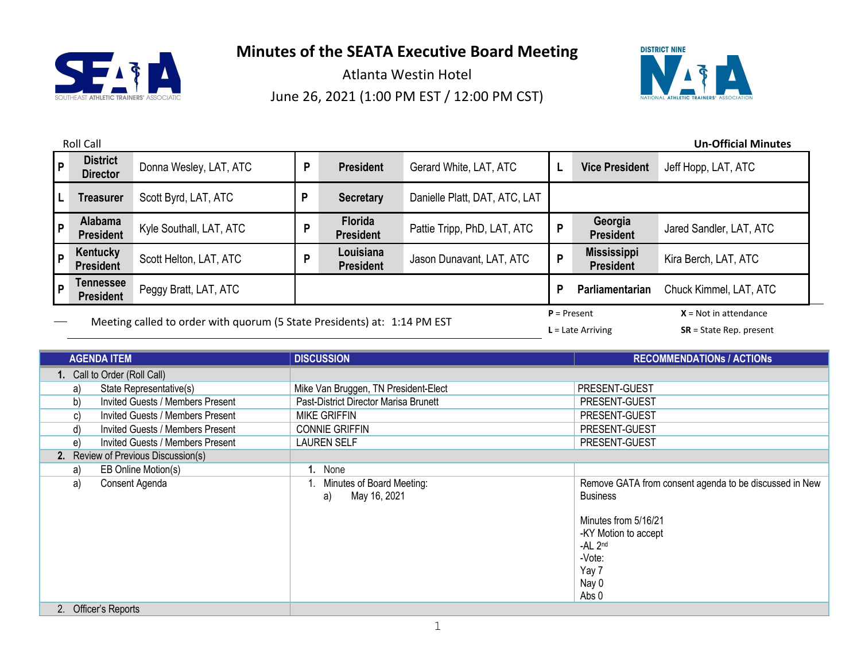



|     | <b>Roll Call</b><br><b>Un-Official Minutes</b>                           |                         |   |                                    |                               |                     |                                        |                         |
|-----|--------------------------------------------------------------------------|-------------------------|---|------------------------------------|-------------------------------|---------------------|----------------------------------------|-------------------------|
| l P | <b>District</b><br><b>Director</b>                                       | Donna Wesley, LAT, ATC  | P | <b>President</b>                   | Gerard White, LAT, ATC        |                     | <b>Vice President</b>                  | Jeff Hopp, LAT, ATC     |
| L   | <b>Treasurer</b>                                                         | Scott Byrd, LAT, ATC    | P | <b>Secretary</b>                   | Danielle Platt, DAT, ATC, LAT |                     |                                        |                         |
| p   | Alabama<br><b>President</b>                                              | Kyle Southall, LAT, ATC | P | <b>Florida</b><br><b>President</b> | Pattie Tripp, PhD, LAT, ATC   | P                   | Georgia<br><b>President</b>            | Jared Sandler, LAT, ATC |
| P   | Kentucky<br><b>President</b>                                             | Scott Helton, LAT, ATC  | D | Louisiana<br><b>President</b>      | Jason Dunavant, LAT, ATC      | P                   | <b>Mississippi</b><br><b>President</b> | Kira Berch, LAT, ATC    |
| p   | Tennessee<br><b>President</b>                                            | Peggy Bratt, LAT, ATC   |   |                                    |                               | P                   | Parliamentarian                        | Chuck Kimmel, LAT, ATC  |
|     | Meeting called to order with quorum (5 State Presidents) at: 1:14 PM EST |                         |   |                                    |                               | $P = Present$       | $X = Not in attendance$                |                         |
|     |                                                                          |                         |   |                                    |                               | $L =$ Late Arriving | $SR = State Rep. present$              |                         |

| <b>AGENDA ITEM</b>                            | <b>DISCUSSION</b>                               | <b>RECOMMENDATIONS / ACTIONS</b>                                                                                                                                              |
|-----------------------------------------------|-------------------------------------------------|-------------------------------------------------------------------------------------------------------------------------------------------------------------------------------|
| 1. Call to Order (Roll Call)                  |                                                 |                                                                                                                                                                               |
| State Representative(s)<br>a)                 | Mike Van Bruggen, TN President-Elect            | <b>PRESENT-GUEST</b>                                                                                                                                                          |
| b)<br><b>Invited Guests / Members Present</b> | Past-District Director Marisa Brunett           | <b>PRESENT-GUEST</b>                                                                                                                                                          |
| <b>Invited Guests / Members Present</b><br>C) | <b>MIKE GRIFFIN</b>                             | PRESENT-GUEST                                                                                                                                                                 |
| Invited Guests / Members Present<br>d)        | <b>CONNIE GRIFFIN</b>                           | PRESENT-GUEST                                                                                                                                                                 |
| Invited Guests / Members Present<br>e)        | <b>LAUREN SELF</b>                              | PRESENT-GUEST                                                                                                                                                                 |
| 2. Review of Previous Discussion(s)           |                                                 |                                                                                                                                                                               |
| EB Online Motion(s)<br>a)                     | 1. None                                         |                                                                                                                                                                               |
| Consent Agenda<br>a)                          | Minutes of Board Meeting:<br>May 16, 2021<br>a) | Remove GATA from consent agenda to be discussed in New<br><b>Business</b><br>Minutes from 5/16/21<br>-KY Motion to accept<br>$-AL$ $2nd$<br>-Vote:<br>Yay 7<br>Nay 0<br>Abs 0 |
| 2. Officer's Reports                          |                                                 |                                                                                                                                                                               |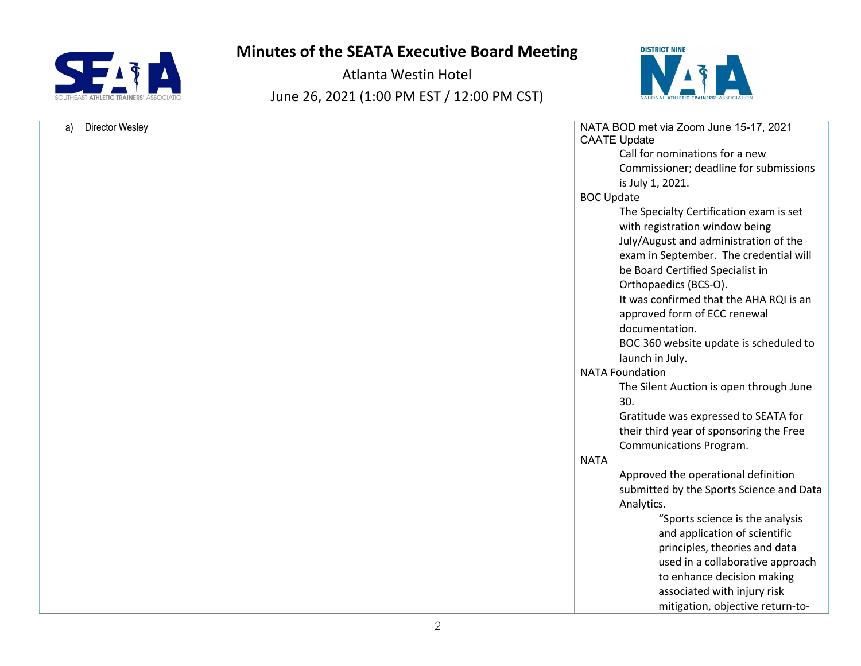



| <b>Director Wesley</b><br>a) | NATA BOD met via Zoom June 15-17, 2021<br><b>CAATE Update</b> |
|------------------------------|---------------------------------------------------------------|
|                              | Call for nominations for a new                                |
|                              | Commissioner; deadline for submissions                        |
|                              |                                                               |
|                              | is July 1, 2021.                                              |
|                              | <b>BOC Update</b>                                             |
|                              | The Specialty Certification exam is set                       |
|                              | with registration window being                                |
|                              | July/August and administration of the                         |
|                              | exam in September. The credential will                        |
|                              | be Board Certified Specialist in                              |
|                              | Orthopaedics (BCS-O).                                         |
|                              | It was confirmed that the AHA RQI is an                       |
|                              | approved form of ECC renewal                                  |
|                              | documentation.                                                |
|                              | BOC 360 website update is scheduled to                        |
|                              | launch in July.                                               |
|                              | <b>NATA Foundation</b>                                        |
|                              |                                                               |
|                              | The Silent Auction is open through June                       |
|                              | 30.                                                           |
|                              | Gratitude was expressed to SEATA for                          |
|                              | their third year of sponsoring the Free                       |
|                              | Communications Program.                                       |
|                              | <b>NATA</b>                                                   |
|                              | Approved the operational definition                           |
|                              | submitted by the Sports Science and Data                      |
|                              | Analytics.                                                    |
|                              | "Sports science is the analysis                               |
|                              | and application of scientific                                 |
|                              | principles, theories and data                                 |
|                              | used in a collaborative approach                              |
|                              | to enhance decision making                                    |
|                              | associated with injury risk                                   |
|                              | mitigation, objective return-to-                              |
|                              |                                                               |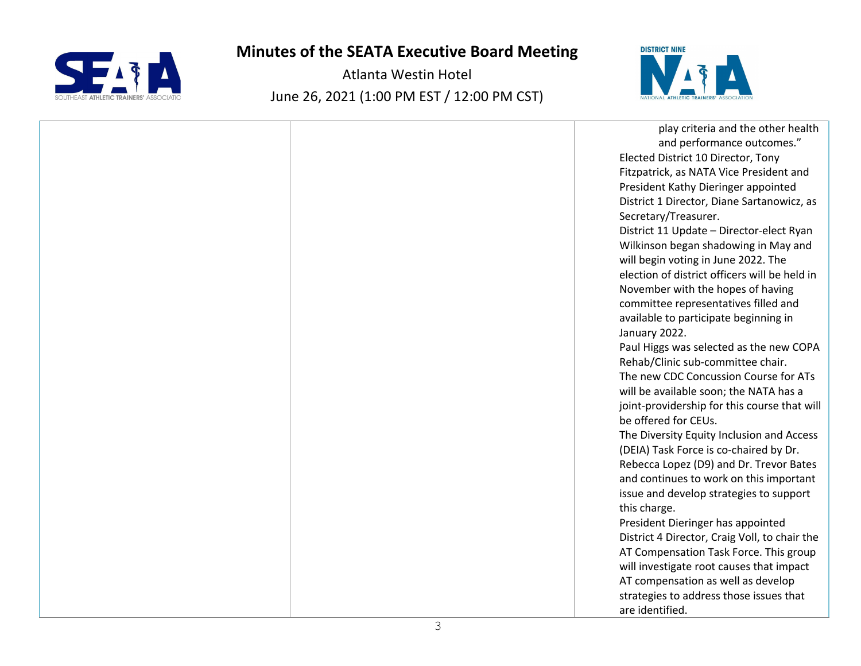



| play criteria and the other health            |  |
|-----------------------------------------------|--|
| and performance outcomes."                    |  |
| Elected District 10 Director, Tony            |  |
| Fitzpatrick, as NATA Vice President and       |  |
| President Kathy Dieringer appointed           |  |
| District 1 Director, Diane Sartanowicz, as    |  |
| Secretary/Treasurer.                          |  |
| District 11 Update - Director-elect Ryan      |  |
| Wilkinson began shadowing in May and          |  |
| will begin voting in June 2022. The           |  |
| election of district officers will be held in |  |
| November with the hopes of having             |  |
| committee representatives filled and          |  |
| available to participate beginning in         |  |
| January 2022.                                 |  |
| Paul Higgs was selected as the new COPA       |  |
| Rehab/Clinic sub-committee chair.             |  |
| The new CDC Concussion Course for ATs         |  |
| will be available soon; the NATA has a        |  |
| joint-providership for this course that will  |  |
| be offered for CEUs.                          |  |
| The Diversity Equity Inclusion and Access     |  |
| (DEIA) Task Force is co-chaired by Dr.        |  |
| Rebecca Lopez (D9) and Dr. Trevor Bates       |  |
| and continues to work on this important       |  |
| issue and develop strategies to support       |  |
| this charge.                                  |  |
| President Dieringer has appointed             |  |
| District 4 Director, Craig Voll, to chair the |  |
| AT Compensation Task Force. This group        |  |
| will investigate root causes that impact      |  |
| AT compensation as well as develop            |  |
| strategies to address those issues that       |  |
| are identified.                               |  |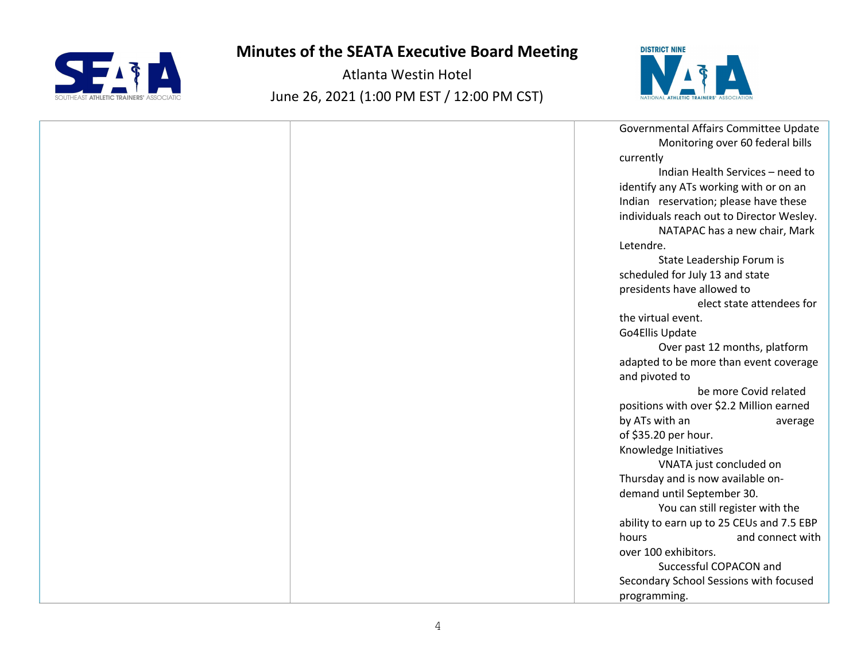



| Governmental Affairs Committee Update     |
|-------------------------------------------|
| Monitoring over 60 federal bills          |
| currently                                 |
| Indian Health Services - need to          |
| identify any ATs working with or on an    |
| Indian reservation; please have these     |
| individuals reach out to Director Wesley. |
| NATAPAC has a new chair, Mark             |
| Letendre.                                 |
| State Leadership Forum is                 |
| scheduled for July 13 and state           |
| presidents have allowed to                |
| elect state attendees for                 |
| the virtual event.                        |
| Go4Ellis Update                           |
| Over past 12 months, platform             |
| adapted to be more than event coverage    |
| and pivoted to                            |
| be more Covid related                     |
| positions with over \$2.2 Million earned  |
| by ATs with an<br>average                 |
| of \$35.20 per hour.                      |
| Knowledge Initiatives                     |
| VNATA just concluded on                   |
| Thursday and is now available on-         |
| demand until September 30.                |
| You can still register with the           |
| ability to earn up to 25 CEUs and 7.5 EBP |
| and connect with<br>hours                 |
| over 100 exhibitors.                      |
| Successful COPACON and                    |
| Secondary School Sessions with focused    |
| programming.                              |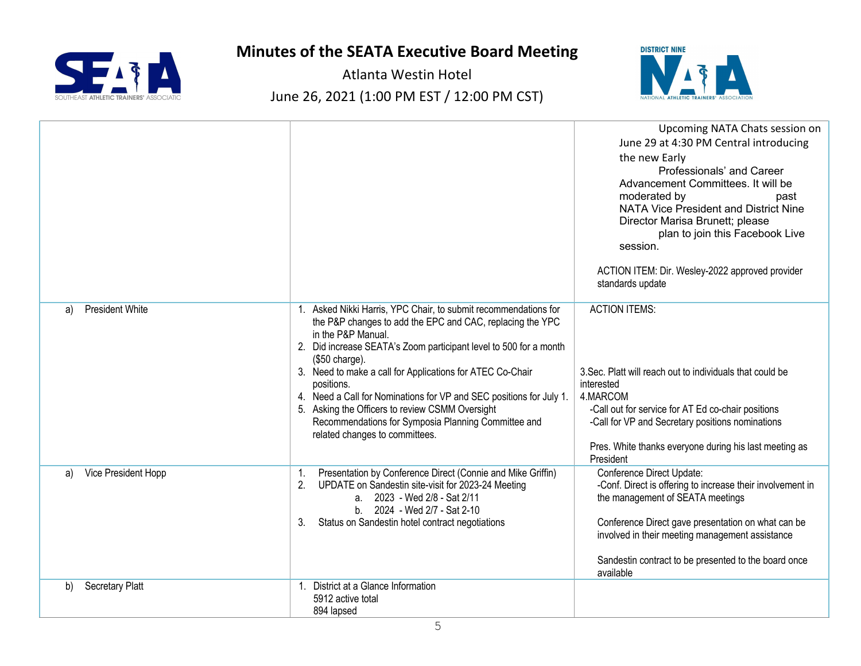



|                              |                                                                                                                                                                                                                                                                                                                                                                                                                                                                                                                                                   | Upcoming NATA Chats session on<br>June 29 at 4:30 PM Central introducing<br>the new Early<br>Professionals' and Career<br>Advancement Committees. It will be<br>moderated by<br>past<br>NATA Vice President and District Nine<br>Director Marisa Brunett; please<br>plan to join this Facebook Live<br>session. |
|------------------------------|---------------------------------------------------------------------------------------------------------------------------------------------------------------------------------------------------------------------------------------------------------------------------------------------------------------------------------------------------------------------------------------------------------------------------------------------------------------------------------------------------------------------------------------------------|-----------------------------------------------------------------------------------------------------------------------------------------------------------------------------------------------------------------------------------------------------------------------------------------------------------------|
|                              |                                                                                                                                                                                                                                                                                                                                                                                                                                                                                                                                                   | ACTION ITEM: Dir. Wesley-2022 approved provider<br>standards update                                                                                                                                                                                                                                             |
| <b>President White</b><br>a) | 1. Asked Nikki Harris, YPC Chair, to submit recommendations for<br>the P&P changes to add the EPC and CAC, replacing the YPC<br>in the P&P Manual.<br>2. Did increase SEATA's Zoom participant level to 500 for a month<br>$(\$50 \text{ charge}).$<br>3. Need to make a call for Applications for ATEC Co-Chair<br>positions.<br>4. Need a Call for Nominations for VP and SEC positions for July 1.<br>5. Asking the Officers to review CSMM Oversight<br>Recommendations for Symposia Planning Committee and<br>related changes to committees. | <b>ACTION ITEMS:</b><br>3. Sec. Platt will reach out to individuals that could be<br>interested<br>4.MARCOM<br>-Call out for service for AT Ed co-chair positions<br>-Call for VP and Secretary positions nominations<br>Pres. White thanks everyone during his last meeting as<br>President                    |
| Vice President Hopp<br>a)    | Presentation by Conference Direct (Connie and Mike Griffin)<br>1.<br>UPDATE on Sandestin site-visit for 2023-24 Meeting<br>2.<br>a. 2023 - Wed 2/8 - Sat 2/11<br>b. 2024 - Wed 2/7 - Sat 2-10<br>Status on Sandestin hotel contract negotiations<br>3.                                                                                                                                                                                                                                                                                            | Conference Direct Update:<br>-Conf. Direct is offering to increase their involvement in<br>the management of SEATA meetings<br>Conference Direct gave presentation on what can be<br>involved in their meeting management assistance<br>Sandestin contract to be presented to the board once<br>available       |
| Secretary Platt<br>b)        | 1. District at a Glance Information<br>5912 active total<br>894 lapsed                                                                                                                                                                                                                                                                                                                                                                                                                                                                            |                                                                                                                                                                                                                                                                                                                 |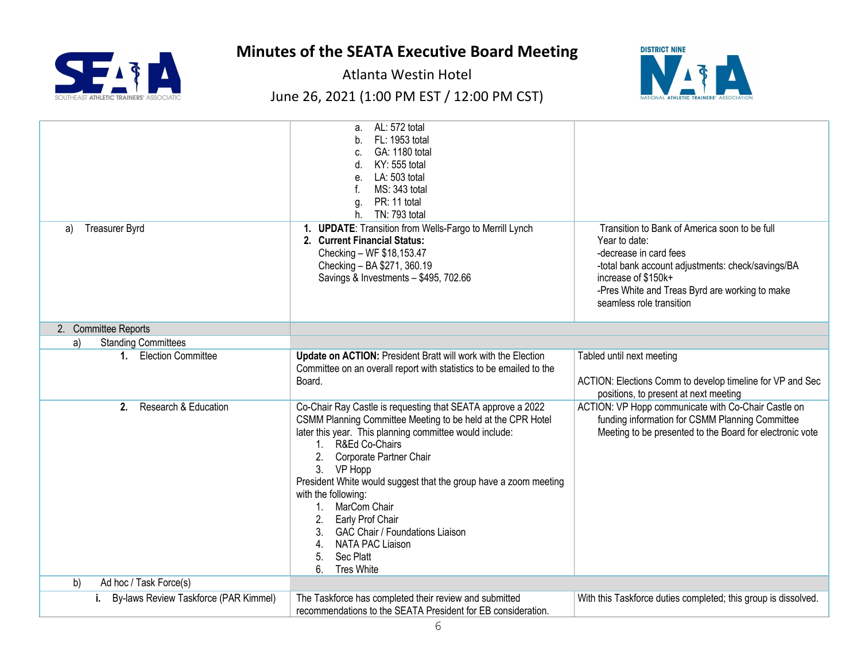

Atlanta Westin Hotel

## June 26, 2021 (1:00 PM EST / 12:00 PM CST)



|                                             | a. AL: 572 total<br>FL: 1953 total<br>GA: 1180 total<br>KY: 555 total<br>d.<br>LA: 503 total<br>e.<br>MS: 343 total<br>f.<br>PR: 11 total<br>g.<br>TN: 793 total<br>h.                                                                                                                                                                                                                                                                                                                                                 |                                                                                                                                                                                                                                                    |
|---------------------------------------------|------------------------------------------------------------------------------------------------------------------------------------------------------------------------------------------------------------------------------------------------------------------------------------------------------------------------------------------------------------------------------------------------------------------------------------------------------------------------------------------------------------------------|----------------------------------------------------------------------------------------------------------------------------------------------------------------------------------------------------------------------------------------------------|
| <b>Treasurer Byrd</b><br>a)                 | 1. UPDATE: Transition from Wells-Fargo to Merrill Lynch<br>2. Current Financial Status:<br>Checking - WF \$18,153.47<br>Checking - BA \$271, 360.19<br>Savings & Investments - \$495, 702.66                                                                                                                                                                                                                                                                                                                           | Transition to Bank of America soon to be full<br>Year to date:<br>-decrease in card fees<br>-total bank account adjustments: check/savings/BA<br>increase of \$150k+<br>-Pres White and Treas Byrd are working to make<br>seamless role transition |
| 2. Committee Reports                        |                                                                                                                                                                                                                                                                                                                                                                                                                                                                                                                        |                                                                                                                                                                                                                                                    |
| <b>Standing Committees</b><br>a)            |                                                                                                                                                                                                                                                                                                                                                                                                                                                                                                                        |                                                                                                                                                                                                                                                    |
| 1. Election Committee                       | Update on ACTION: President Bratt will work with the Election<br>Committee on an overall report with statistics to be emailed to the<br>Board.                                                                                                                                                                                                                                                                                                                                                                         | Tabled until next meeting<br>ACTION: Elections Comm to develop timeline for VP and Sec<br>positions, to present at next meeting                                                                                                                    |
| Research & Education<br>2.                  | Co-Chair Ray Castle is requesting that SEATA approve a 2022<br>CSMM Planning Committee Meeting to be held at the CPR Hotel<br>later this year. This planning committee would include:<br>1. R&Ed Co-Chairs<br>Corporate Partner Chair<br>2.<br>3. VP Hopp<br>President White would suggest that the group have a zoom meeting<br>with the following:<br>1. MarCom Chair<br>2. Early Prof Chair<br><b>GAC Chair / Foundations Liaison</b><br><b>NATA PAC Liaison</b><br>4.<br>Sec Platt<br>5.<br><b>Tres White</b><br>6 | ACTION: VP Hopp communicate with Co-Chair Castle on<br>funding information for CSMM Planning Committee<br>Meeting to be presented to the Board for electronic vote                                                                                 |
| b)<br>Ad hoc / Task Force(s)                |                                                                                                                                                                                                                                                                                                                                                                                                                                                                                                                        |                                                                                                                                                                                                                                                    |
| By-laws Review Taskforce (PAR Kimmel)<br>i. | The Taskforce has completed their review and submitted<br>recommendations to the SEATA President for EB consideration.                                                                                                                                                                                                                                                                                                                                                                                                 | With this Taskforce duties completed; this group is dissolved.                                                                                                                                                                                     |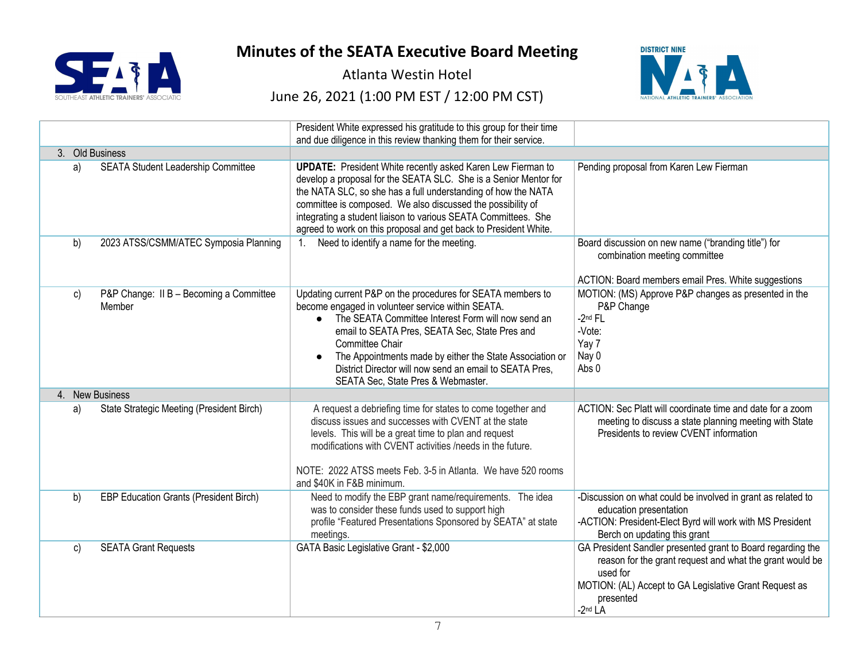

Atlanta Westin Hotel

June 26, 2021 (1:00 PM EST / 12:00 PM CST)



|    |                                                   | President White expressed his gratitude to this group for their time                                                                                                                                                                                                                                                                                                                                                               |                                                                                                                                                                                                                         |
|----|---------------------------------------------------|------------------------------------------------------------------------------------------------------------------------------------------------------------------------------------------------------------------------------------------------------------------------------------------------------------------------------------------------------------------------------------------------------------------------------------|-------------------------------------------------------------------------------------------------------------------------------------------------------------------------------------------------------------------------|
|    |                                                   | and due diligence in this review thanking them for their service.                                                                                                                                                                                                                                                                                                                                                                  |                                                                                                                                                                                                                         |
|    | 3. Old Business                                   |                                                                                                                                                                                                                                                                                                                                                                                                                                    |                                                                                                                                                                                                                         |
| a) | SEATA Student Leadership Committee                | <b>UPDATE:</b> President White recently asked Karen Lew Fierman to<br>develop a proposal for the SEATA SLC. She is a Senior Mentor for<br>the NATA SLC, so she has a full understanding of how the NATA<br>committee is composed. We also discussed the possibility of<br>integrating a student liaison to various SEATA Committees. She<br>agreed to work on this proposal and get back to President White.                       | Pending proposal from Karen Lew Fierman                                                                                                                                                                                 |
| b) | 2023 ATSS/CSMM/ATEC Symposia Planning             | Need to identify a name for the meeting.<br>1 <sup>1</sup>                                                                                                                                                                                                                                                                                                                                                                         | Board discussion on new name ("branding title") for<br>combination meeting committee<br>ACTION: Board members email Pres. White suggestions                                                                             |
| C) | P&P Change: II B - Becoming a Committee<br>Member | Updating current P&P on the procedures for SEATA members to<br>become engaged in volunteer service within SEATA.<br>The SEATA Committee Interest Form will now send an<br>$\bullet$<br>email to SEATA Pres, SEATA Sec, State Pres and<br>Committee Chair<br>The Appointments made by either the State Association or<br>$\bullet$<br>District Director will now send an email to SEATA Pres,<br>SEATA Sec. State Pres & Webmaster. | MOTION: (MS) Approve P&P changes as presented in the<br>P&P Change<br>$-2nd FL$<br>-Vote:<br>Yay 7<br>Nay 0<br>Abs 0                                                                                                    |
|    | 4. New Business                                   |                                                                                                                                                                                                                                                                                                                                                                                                                                    |                                                                                                                                                                                                                         |
| a) | State Strategic Meeting (President Birch)         | A request a debriefing time for states to come together and<br>discuss issues and successes with CVENT at the state<br>levels. This will be a great time to plan and request<br>modifications with CVENT activities /needs in the future.<br>NOTE: 2022 ATSS meets Feb. 3-5 in Atlanta. We have 520 rooms<br>and \$40K in F&B minimum.                                                                                             | ACTION: Sec Platt will coordinate time and date for a zoom<br>meeting to discuss a state planning meeting with State<br>Presidents to review CVENT information                                                          |
| b) | <b>EBP Education Grants (President Birch)</b>     | Need to modify the EBP grant name/requirements. The idea<br>was to consider these funds used to support high<br>profile "Featured Presentations Sponsored by SEATA" at state<br>meetings.                                                                                                                                                                                                                                          | -Discussion on what could be involved in grant as related to<br>education presentation<br>-ACTION: President-Elect Byrd will work with MS President<br>Berch on updating this grant                                     |
| c) | <b>SEATA Grant Requests</b>                       | GATA Basic Legislative Grant - \$2,000                                                                                                                                                                                                                                                                                                                                                                                             | GA President Sandler presented grant to Board regarding the<br>reason for the grant request and what the grant would be<br>used for<br>MOTION: (AL) Accept to GA Legislative Grant Request as<br>presented<br>$-2nd LA$ |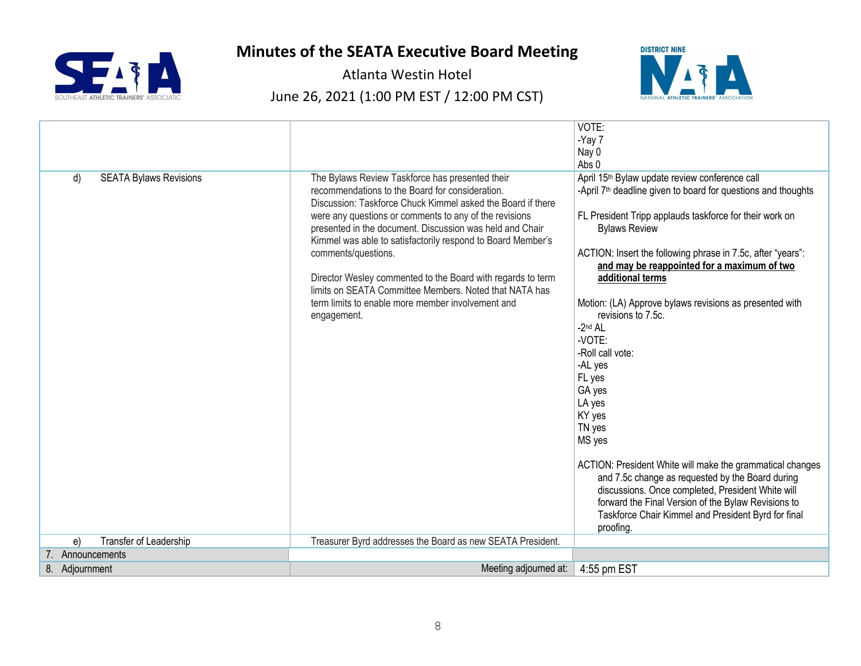

Atlanta Westin Hotel

## June 26, 2021 (1:00 PM EST / 12:00 PM CST)



|                                     |                                                                                                                                                                                                                                                                                                                                                                                                                                                                                                                                                                            | VOTE:                                                                                                                                                                                                                                                                                                                                                                                                                                                                                                                                                                                                                                                                                                                                                                                                                                               |
|-------------------------------------|----------------------------------------------------------------------------------------------------------------------------------------------------------------------------------------------------------------------------------------------------------------------------------------------------------------------------------------------------------------------------------------------------------------------------------------------------------------------------------------------------------------------------------------------------------------------------|-----------------------------------------------------------------------------------------------------------------------------------------------------------------------------------------------------------------------------------------------------------------------------------------------------------------------------------------------------------------------------------------------------------------------------------------------------------------------------------------------------------------------------------------------------------------------------------------------------------------------------------------------------------------------------------------------------------------------------------------------------------------------------------------------------------------------------------------------------|
|                                     |                                                                                                                                                                                                                                                                                                                                                                                                                                                                                                                                                                            | -Yay 7                                                                                                                                                                                                                                                                                                                                                                                                                                                                                                                                                                                                                                                                                                                                                                                                                                              |
|                                     |                                                                                                                                                                                                                                                                                                                                                                                                                                                                                                                                                                            | Nay 0                                                                                                                                                                                                                                                                                                                                                                                                                                                                                                                                                                                                                                                                                                                                                                                                                                               |
|                                     |                                                                                                                                                                                                                                                                                                                                                                                                                                                                                                                                                                            | Abs 0                                                                                                                                                                                                                                                                                                                                                                                                                                                                                                                                                                                                                                                                                                                                                                                                                                               |
| <b>SEATA Bylaws Revisions</b><br>d) | The Bylaws Review Taskforce has presented their<br>recommendations to the Board for consideration.<br>Discussion: Taskforce Chuck Kimmel asked the Board if there<br>were any questions or comments to any of the revisions<br>presented in the document. Discussion was held and Chair<br>Kimmel was able to satisfactorily respond to Board Member's<br>comments/questions.<br>Director Wesley commented to the Board with regards to term<br>limits on SEATA Committee Members. Noted that NATA has<br>term limits to enable more member involvement and<br>engagement. | April 15 <sup>th</sup> Bylaw update review conference call<br>-April 7 <sup>th</sup> deadline given to board for questions and thoughts<br>FL President Tripp applauds taskforce for their work on<br><b>Bylaws Review</b><br>ACTION: Insert the following phrase in 7.5c, after "years":<br>and may be reappointed for a maximum of two<br>additional terms<br>Motion: (LA) Approve bylaws revisions as presented with<br>revisions to 7.5c.<br>$-2nd$ AL<br>-VOTE:<br>-Roll call vote:<br>-AL yes<br>FL yes<br>GA yes<br>LA yes<br>KY yes<br>TN yes<br>MS yes<br>ACTION: President White will make the grammatical changes<br>and 7.5c change as requested by the Board during<br>discussions. Once completed, President White will<br>forward the Final Version of the Bylaw Revisions to<br>Taskforce Chair Kimmel and President Byrd for final |
|                                     |                                                                                                                                                                                                                                                                                                                                                                                                                                                                                                                                                                            | proofing.                                                                                                                                                                                                                                                                                                                                                                                                                                                                                                                                                                                                                                                                                                                                                                                                                                           |
| Transfer of Leadership<br>e)        | Treasurer Byrd addresses the Board as new SEATA President.                                                                                                                                                                                                                                                                                                                                                                                                                                                                                                                 |                                                                                                                                                                                                                                                                                                                                                                                                                                                                                                                                                                                                                                                                                                                                                                                                                                                     |
| 7. Announcements                    |                                                                                                                                                                                                                                                                                                                                                                                                                                                                                                                                                                            |                                                                                                                                                                                                                                                                                                                                                                                                                                                                                                                                                                                                                                                                                                                                                                                                                                                     |
| 8. Adjournment                      | Meeting adjourned at:                                                                                                                                                                                                                                                                                                                                                                                                                                                                                                                                                      | 4:55 pm EST                                                                                                                                                                                                                                                                                                                                                                                                                                                                                                                                                                                                                                                                                                                                                                                                                                         |